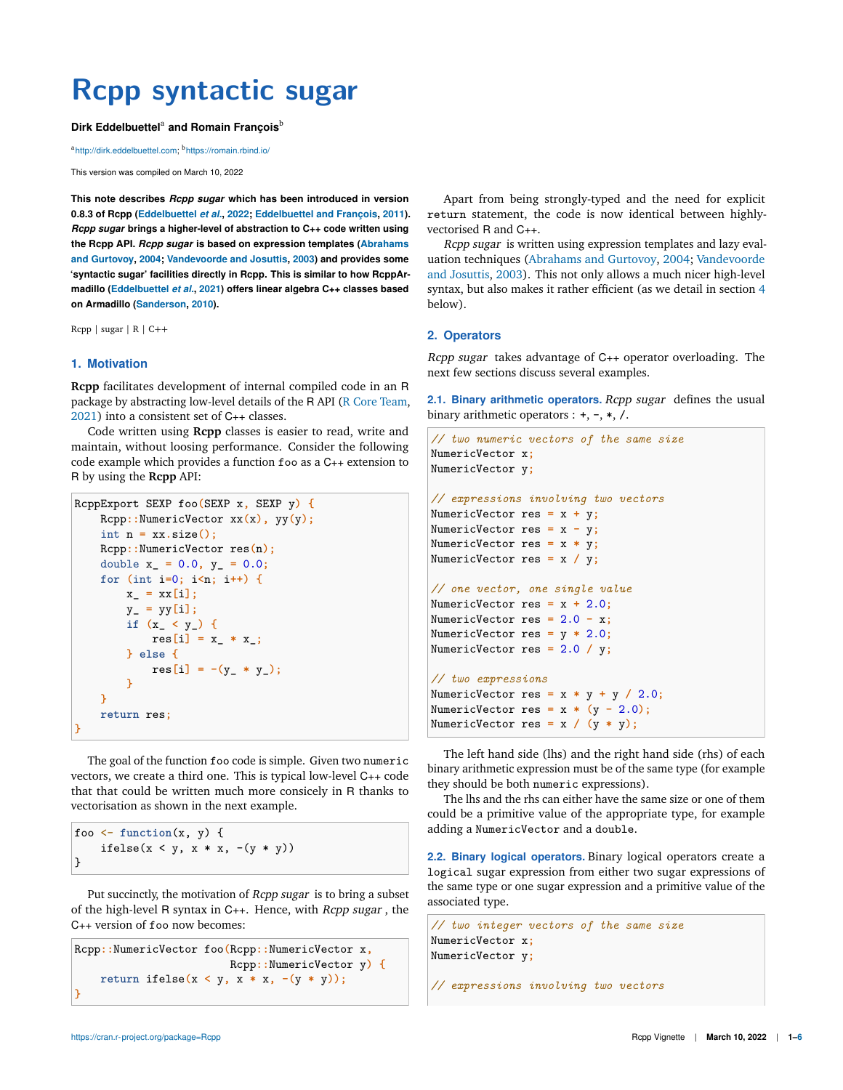# **Rcpp syntactic sugar**

#### Dirk Eddelbuettel<sup>a</sup> and Romain François<sup>b</sup>

ahttp://dirk.eddelbuettel.com; <sup>b</sup>https://romain.rbind.io/

This version was compiled on March 10, 2022

**This note describes** *Rcpp sugar* **which has been introduced in version 0.8.3 of Rcpp (Eddelbuettel** *et al.***, 2022; Eddelbuettel and François, 2011).** *Rcpp sugar* **brings a higher-level of abstraction to C++ code written using the Rcpp API.** *Rcpp sugar* **is based on expression templates (Abrahams and Gurtovoy, 2004; Vandevoorde and Josuttis, 2003) and provides some 'syntactic sugar' facilities directly in Rcpp. This is similar to how RcppArmadillo (Eddelbuettel** *et al.***, 2021) offers linear algebra C++ classes based on Armadillo (Sanderson, 2010).**

Rcpp | sugar | R | C++

## **1. Motivation**

**Rcpp** facilitates development of internal compiled code in an R package by abstracting low-level details of the R API (R Core Team, 2021) into a consistent set of C++ classes.

Code written using **Rcpp** classes is easier to read, write and maintain, without loosing performance. Consider the following code example which provides a function foo as a C++ extension to R by using the **Rcpp** API:

```
RcppExport SEXP foo(SEXP x, SEXP y) {
   Rcpp::NumericVector xx(x), yy(y);
    int n = xx.size();
    Rcpp::NumericVector res(n);
    double x_ = 0.0, y_ = 0.0;
    for (int i=0; i<n; i++) {
       x_ = xx[i];
        y_ = yy[i];
        if (x_ < y_) {
            res[i] = x_ * x_;
        } else {
            res[i] = -(y_* * y_');}
    }
    return res;
}
```
The goal of the function foo code is simple. Given two numeric vectors, we create a third one. This is typical low-level C++ code that that could be written much more consicely in R thanks to vectorisation as shown in the next example.

foo <- **function**(x, y) { ifelse( $x < y$ ,  $x * x$ ,  $-(y * y)$ ) }

Put succinctly, the motivation of Rcpp sugar is to bring a subset of the high-level R syntax in C++. Hence, with Rcpp sugar , the C++ version of foo now becomes:

```
Rcpp::NumericVector foo(Rcpp::NumericVector x,
                         Rcpp::NumericVector y) {
    return ifelse(x \leq y, x * x, -(y * y));
}
```
Apart from being strongly-typed and the need for explicit return statement, the code is now identical between highlyvectorised R and C++.

Rcpp sugar is written using expression templates and lazy evaluation techniques (Abrahams and Gurtovoy, 2004; Vandevoorde and Josuttis, 2003). This not only allows a much nicer high-level syntax, but also makes it rather efficient (as we detail in section 4 below).

#### **2. Operators**

Rcpp sugar takes advantage of C++ operator overloading. The next few sections discuss several examples.

**2.1. Binary arithmetic operators.** Rcpp sugar defines the usual binary arithmetic operators :  $+, -, *, /$ .

```
// two numeric vectors of the same size
NumericVector x;
NumericVector y;
// expressions involving two vectors
NumericVector res = x + y;
NumericVector res = x - y;
NumericVector res = x * y;
NumericVector res = x / y;
// one vector, one single value
NumericVector res = x + 2.0;
NumericVector res = 2.0 - x;
NumericVector res = y * 2.0;
NumericVector res = 2.0 / y;
// two expressions
NumericVector res = x * y + y / 2.0;
NumericVector res = x * (y - 2.0);
NumericVector res = x / (y * y);
```
The left hand side (lhs) and the right hand side (rhs) of each binary arithmetic expression must be of the same type (for example they should be both numeric expressions).

The lhs and the rhs can either have the same size or one of them could be a primitive value of the appropriate type, for example adding a NumericVector and a double.

**2.2. Binary logical operators.** Binary logical operators create a logical sugar expression from either two sugar expressions of the same type or one sugar expression and a primitive value of the associated type.

```
// two integer vectors of the same size
NumericVector x;
NumericVector y;
```
*// expressions involving two vectors*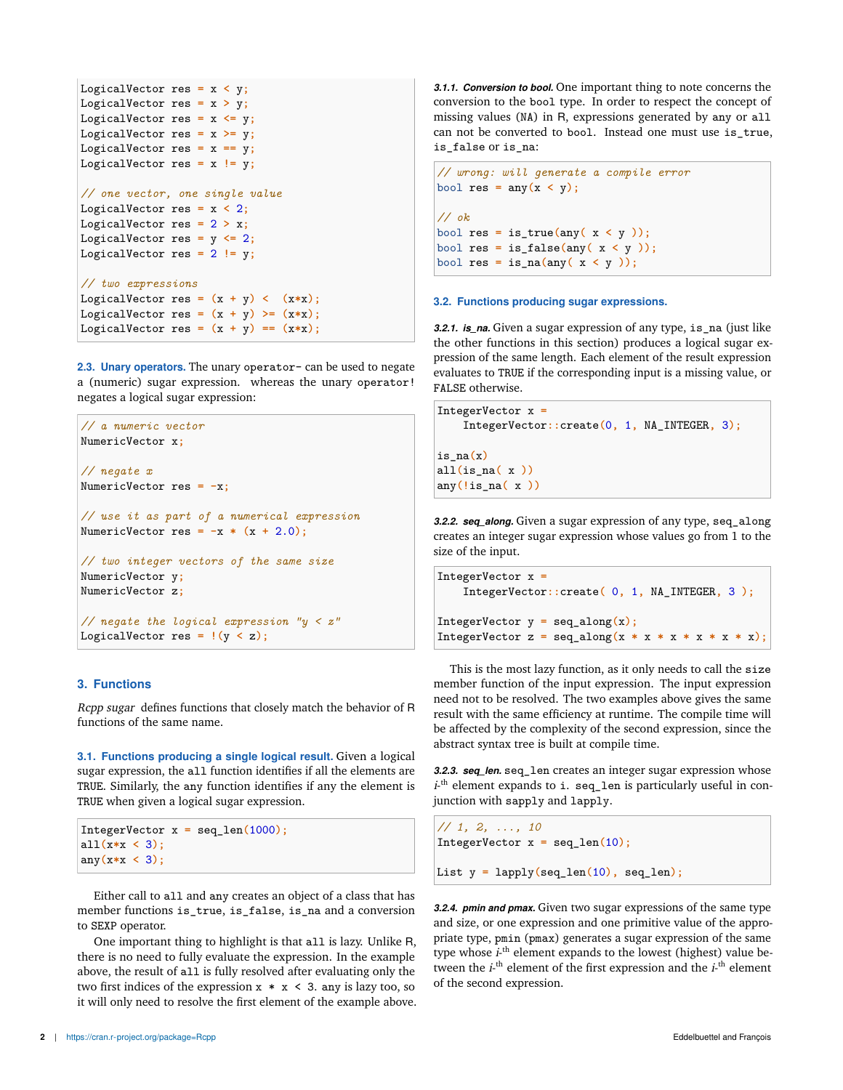```
LogicalVector res = x < y;
LogicalVector res = x > y;
LogicalVector res = x <= y;
LogicalVector res = x >= y;
LogicalVector res = x == y;LogicalVector res = x != y;
// one vector, one single value
LogicalVector res = x < 2;
LogicalVector res = 2 > x;
LogicalVector res = y \le 2;
LogicalVector res = 2 != y;
// two expressions
LogicalVector res = (x + y) < (x * x);
LogicalVector res = (x + y) >= (x * x);
LogicalVector res = (x + y) == (x * x);
```
**2.3. Unary operators.** The unary operator- can be used to negate a (numeric) sugar expression. whereas the unary operator! negates a logical sugar expression:

```
// a numeric vector
NumericVector x;
// negate x
NumericVector res = -x;
// use it as part of a numerical expression
NumericVector res = -x * (x + 2.0);
// two integer vectors of the same size
NumericVector y;
NumericVector z;
// negate the logical expression "y < z"
LogicalVector res = !(y < z);
```
## **3. Functions**

Rcpp sugar defines functions that closely match the behavior of R functions of the same name.

**3.1. Functions producing a single logical result.** Given a logical sugar expression, the all function identifies if all the elements are TRUE. Similarly, the any function identifies if any the element is TRUE when given a logical sugar expression.

```
IntegerVector x = seq_len(1000);
all(x*x < 3);
any(x*x < 3);
```
Either call to all and any creates an object of a class that has member functions is\_true, is\_false, is\_na and a conversion to SEXP operator.

One important thing to highlight is that all is lazy. Unlike R, there is no need to fully evaluate the expression. In the example above, the result of all is fully resolved after evaluating only the two first indices of the expression  $x * x < 3$ . any is lazy too, so it will only need to resolve the first element of the example above. *3.1.1. Conversion to bool.* One important thing to note concerns the conversion to the bool type. In order to respect the concept of missing values (NA) in R, expressions generated by any or all can not be converted to bool. Instead one must use is\_true, is\_false or is\_na:

```
// wrong: will generate a compile error
\begin{bmatrix} \text{bool} \text{res} = \text{any}(x < y) \end{bmatrix}// ok
bool res = is_true(any( x < y ));
bool res = is_false(any( x < y ));
bool res = is_na(any( x < y ));
```
#### **3.2. Functions producing sugar expressions.**

**3.2.1. is na.** Given a sugar expression of any type, is na (just like the other functions in this section) produces a logical sugar expression of the same length. Each element of the result expression evaluates to TRUE if the corresponding input is a missing value, or FALSE otherwise.

```
IntegerVector x =
    IntegerVector::create(0, 1, NA_INTEGER, 3);
is_na(x)
all(is_na( x ))
any(!is_na( x ))
```
*3.2.2. seq\_along.* Given a sugar expression of any type, seq\_along creates an integer sugar expression whose values go from 1 to the size of the input.

```
IntegerVector x =
    IntegerVector::create( 0, 1, NA_INTEGER, 3 );
IntegerVector y = \text{seq\_along}(x);
IntegerVector z = \text{seq\_along}(x * x * x * x * x * x);
```
This is the most lazy function, as it only needs to call the size member function of the input expression. The input expression need not to be resolved. The two examples above gives the same result with the same efficiency at runtime. The compile time will be affected by the complexity of the second expression, since the abstract syntax tree is built at compile time.

*3.2.3. seq\_len.* seq\_len creates an integer sugar expression whose  $i$ <sup>th</sup> element expands to i. seq\_len is particularly useful in conjunction with sapply and lapply.

```
// 1, 2, ..., 10
IntegerVector x = seq_len(10);
List y = lapply(seq_len(10), seq_len);
```
*3.2.4. pmin and pmax.* Given two sugar expressions of the same type and size, or one expression and one primitive value of the appropriate type, pmin (pmax) generates a sugar expression of the same type whose *i*-<sup>th</sup> element expands to the lowest (highest) value between the  $i$ -<sup>th</sup> element of the first expression and the  $i$ -<sup>th</sup> element of the second expression.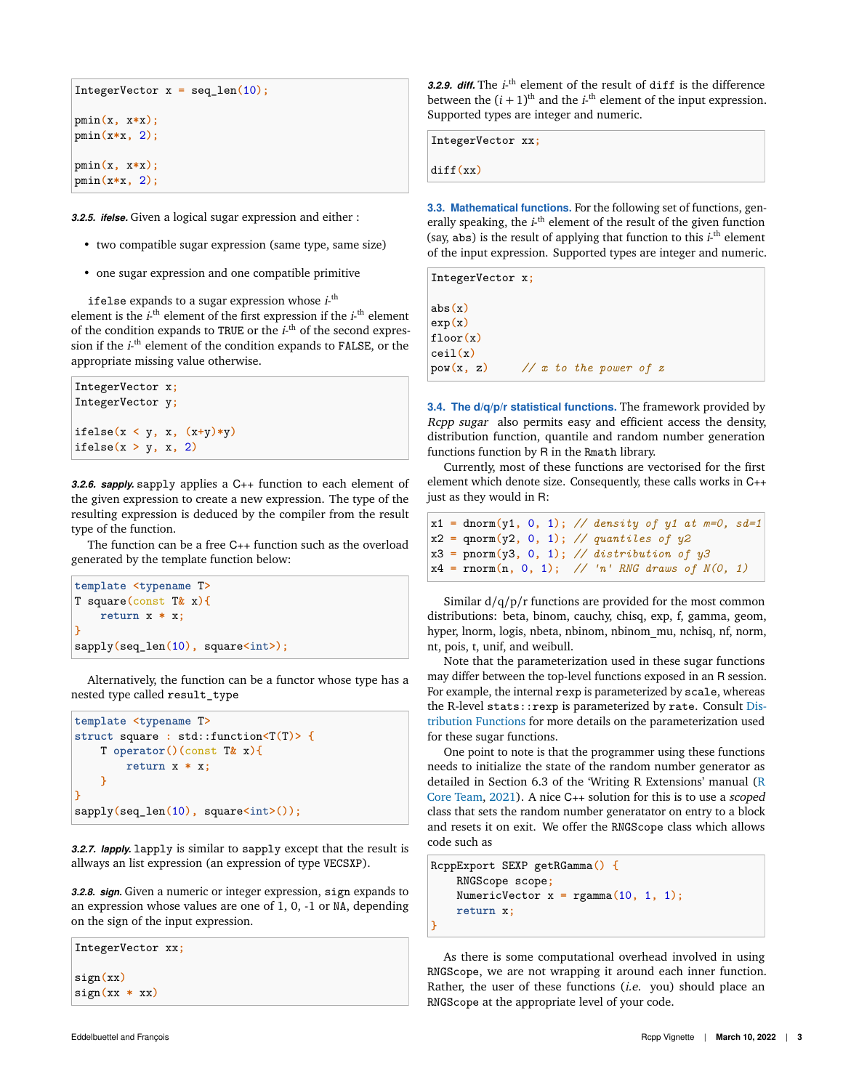```
IntegerVector x = seq_len(10);
pmin(x, x*x);
pmin(x*x, 2);
pmin(x, x*x);
pmin(x*x, 2);
```
*3.2.5. ifelse.* Given a logical sugar expression and either :

- two compatible sugar expression (same type, same size)
- one sugar expression and one compatible primitive

ifelse expands to a sugar expression whose  $i$ -<sup>th</sup> element is the  $i$ <sup>-th</sup> element of the first expression if the  $i$ <sup>-th</sup> element of the condition expands to TRUE or the  $i$ <sup>th</sup> of the second expression if the *i*-<sup>th</sup> element of the condition expands to FALSE, or the appropriate missing value otherwise.

```
IntegerVector x;
IntegerVector y;
ifelse(x < y, x, (x+y)*y)
ifelse(x > y, x, 2)
```
*3.2.6. sapply.* sapply applies a C++ function to each element of the given expression to create a new expression. The type of the resulting expression is deduced by the compiler from the result type of the function.

The function can be a free C++ function such as the overload generated by the template function below:

```
template <typename T>
T square(const T& x){
    return x * x;
}
sapply(seq_len(10), square<int>);
```
Alternatively, the function can be a functor whose type has a nested type called result\_type

```
template <typename T>
struct square : std::function<T(T)> {
    T operator()(const T& x){
        return x * x;
    }
}
sapply(seq_len(10), square<int>());
```
*3.2.7. lapply.* lapply is similar to sapply except that the result is allways an list expression (an expression of type VECSXP).

*3.2.8. sign.* Given a numeric or integer expression, sign expands to an expression whose values are one of 1, 0, -1 or NA, depending on the sign of the input expression.

IntegerVector xx**;** sign**(**xx**)** sign**(**xx **\*** xx**)**

**3.2.9.** *diff.* The  $i$ <sup>-th</sup> element of the result of diff is the difference between the  $(i + 1)$ <sup>th</sup> and the  $i$ <sup>th</sup> element of the input expression. Supported types are integer and numeric.

IntegerVector xx**;**

diff**(**xx**)**

**3.3. Mathematical functions.** For the following set of functions, generally speaking, the *i*-<sup>th</sup> element of the result of the given function (say, abs) is the result of applying that function to this  $i$ <sup>th</sup> element of the input expression. Supported types are integer and numeric.

```
IntegerVector x;
abs(x)
exp(x)
floor(x)
ceil(x)
pow(x, z) // x to the power of z
```
**3.4. The d/q/p/r statistical functions.** The framework provided by Rcpp sugar also permits easy and efficient access the density, distribution function, quantile and random number generation functions function by R in the Rmath library.

Currently, most of these functions are vectorised for the first element which denote size. Consequently, these calls works in C++ just as they would in R:

```
x1 = dnorm(y1, 0, 1); // density of y1 at m=0, sd=1
x2 = qnorm(y2, 0, 1); // quantiles of y2
x3 = pnorm(y3, 0, 1); // distribution of y3
x4 = rnorm(n, 0, 1); // 'n' RNG draws of N(0, 1)
```
Similar  $d/q/p/r$  functions are provided for the most common distributions: beta, binom, cauchy, chisq, exp, f, gamma, geom, hyper, lnorm, logis, nbeta, nbinom, nbinom\_mu, nchisq, nf, norm, nt, pois, t, unif, and weibull.

Note that the parameterization used in these sugar functions may differ between the top-level functions exposed in an R session. For example, the internal rexp is parameterized by scale, whereas the R-level stats: : rexp is parameterized by rate. Consult Distribution Functions for more details on the parameterization used for these sugar functions.

One point to note is that the programmer using these functions needs to initialize the state of the random number generator as detailed in Section 6.3 of the 'Writing R Extensions' manual (R Core Team, 2021). A nice C++ solution for this is to use a scoped class that sets the random number generatator on entry to a block and resets it on exit. We offer the RNGScope class which allows code such as

```
RcppExport SEXP getRGamma() {
    RNGScope scope;
    NumericVector x = \text{rgamma}(10, 1, 1);
    return x;
}
```
As there is some computational overhead involved in using RNGScope, we are not wrapping it around each inner function. Rather, the user of these functions (*i.e.* you) should place an RNGScope at the appropriate level of your code.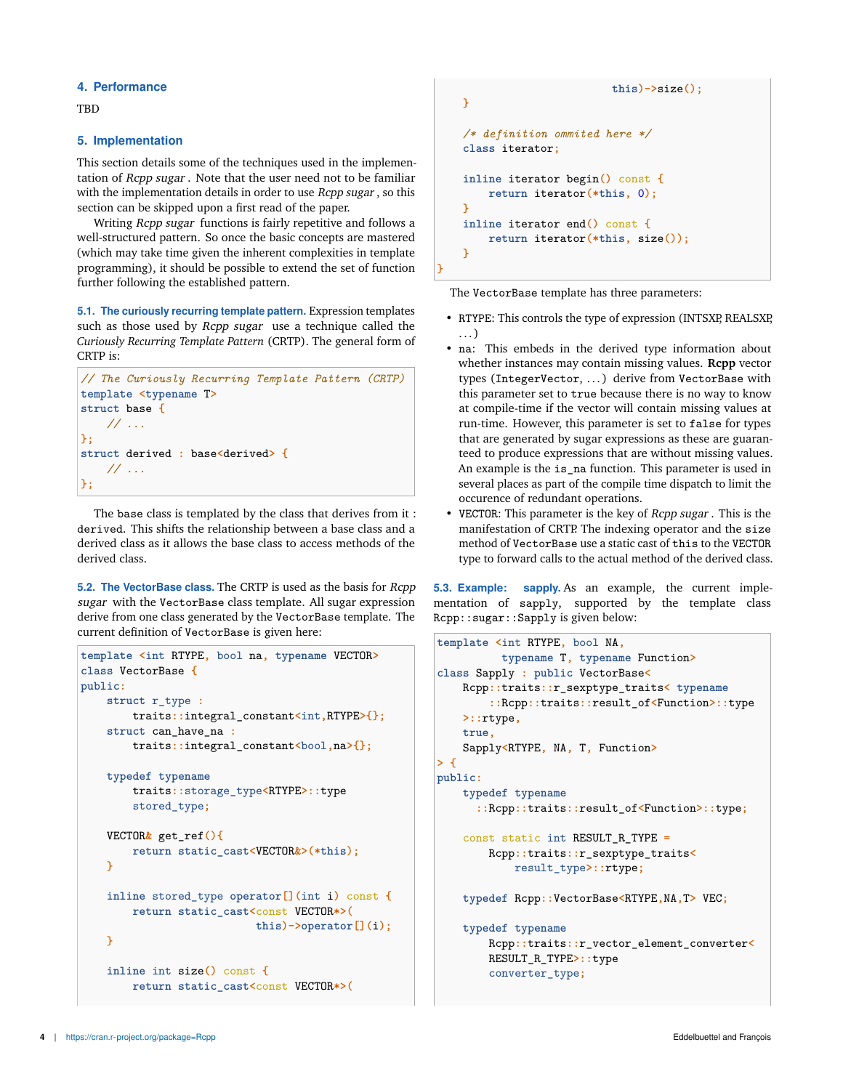### **4. Performance**

**TRD** 

#### **5. Implementation**

This section details some of the techniques used in the implementation of Rcpp sugar . Note that the user need not to be familiar with the implementation details in order to use Rcpp sugar, so this section can be skipped upon a first read of the paper.

Writing *Rcpp sugar* functions is fairly repetitive and follows a well-structured pattern. So once the basic concepts are mastered (which may take time given the inherent complexities in template programming), it should be possible to extend the set of function further following the established pattern.

**5.1. The curiously recurring template pattern.** Expression templates such as those used by Rcpp sugar use a technique called the *Curiously Recurring Template Pattern* (CRTP). The general form of CRTP is:

```
// The Curiously Recurring Template Pattern (CRTP)
template <typename T>
struct base {
    // ...
};
struct derived : base<derived> {
    // ...
};
```
The base class is templated by the class that derives from it : derived. This shifts the relationship between a base class and a derived class as it allows the base class to access methods of the derived class.

**5.2. The VectorBase class.** The CRTP is used as the basis for Rcpp sugar with the VectorBase class template. All sugar expression derive from one class generated by the VectorBase template. The current definition of VectorBase is given here:

```
template <int RTYPE, bool na, typename VECTOR>
class VectorBase {
public:
    struct r_type :
        traits::integral_constant<int,RTYPE>{};
    struct can_have_na :
        traits::integral_constant<bool,na>{};
    typedef typename
        traits::storage_type<RTYPE>::type
        stored_type;
    VECTOR& get_ref(){
        return static_cast<VECTOR&>(*this);
    }
    inline stored_type operator[](int i) const {
        return static_cast<const VECTOR*>(
                           this)->operator[](i);
    }
    inline int size() const {
        return static_cast<const VECTOR*>(
```

```
this)->size();
}
/* definition ommited here */
class iterator;
inline iterator begin() const {
    return iterator(*this, 0);
}
inline iterator end() const {
    return iterator(*this, size());
}
```
The VectorBase template has three parameters:

**}**

- RTYPE: This controls the type of expression (INTSXP, REALSXP, . . . )
- na: This embeds in the derived type information about whether instances may contain missing values. **Rcpp** vector types (IntegerVector, ... ) derive from VectorBase with this parameter set to true because there is no way to know at compile-time if the vector will contain missing values at run-time. However, this parameter is set to false for types that are generated by sugar expressions as these are guaranteed to produce expressions that are without missing values. An example is the is\_na function. This parameter is used in several places as part of the compile time dispatch to limit the occurence of redundant operations.
- VECTOR: This parameter is the key of Rcpp sugar . This is the manifestation of CRTP. The indexing operator and the size method of VectorBase use a static cast of this to the VECTOR type to forward calls to the actual method of the derived class.

**5.3. Example: sapply.** As an example, the current implementation of sapply, supported by the template class Rcpp::sugar::Sapply is given below:

```
template <int RTYPE, bool NA,
          typename T, typename Function>
class Sapply : public VectorBase<
   Rcpp::traits::r_sexptype_traits< typename
        ::Rcpp::traits::result_of<Function>::type
   >::rtype,
    true,
    Sapply<RTYPE, NA, T, Function>
> {
public:
    typedef typename
      ::Rcpp::traits::result_of<Function>::type;
    const static int RESULT_R_TYPE =
        Rcpp::traits::r_sexptype_traits<
            result_type>::rtype;
    typedef Rcpp::VectorBase<RTYPE,NA,T> VEC;
    typedef typename
        Rcpp::traits::r_vector_element_converter<
        RESULT_R_TYPE>::type
        converter_type;
```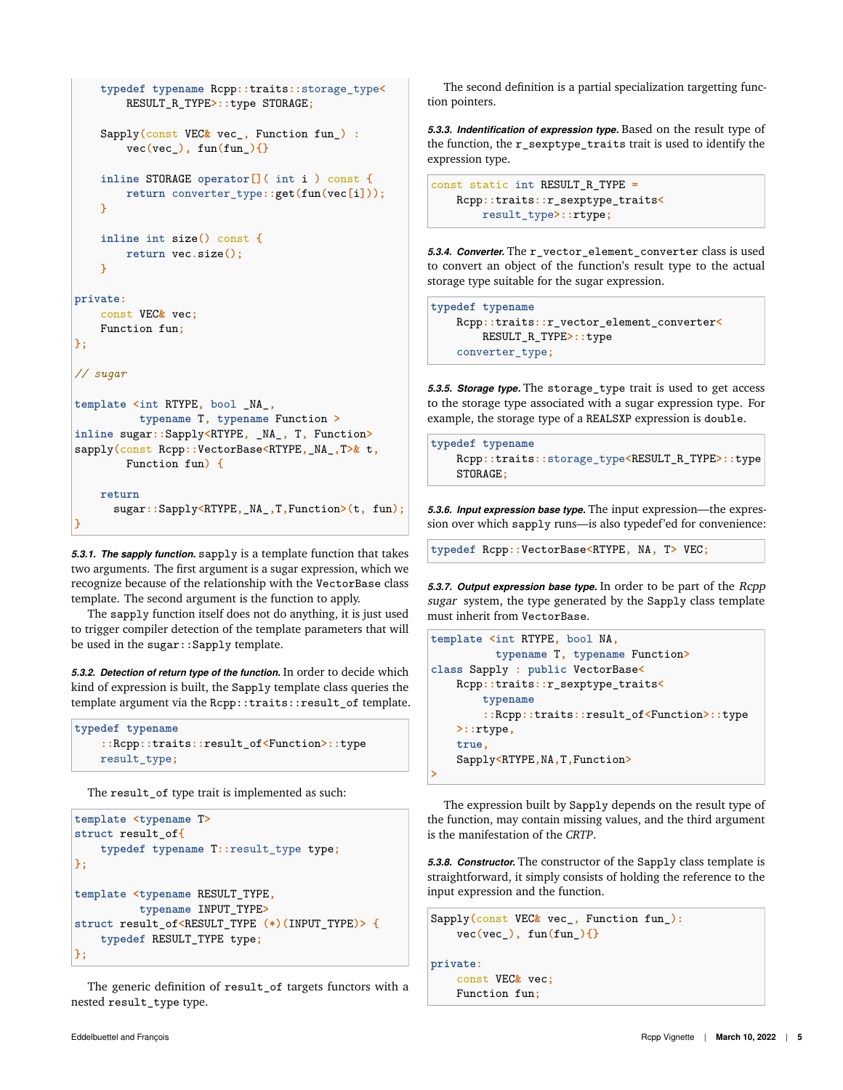```
typedef typename Rcpp::traits::storage_type<
        RESULT_R_TYPE>::type STORAGE;
    Sapply(const VEC& vec_, Function fun_) :
        vec(vec_), fun(fun_){}
    inline STORAGE operator[]( int i ) const {
        return converter_type::get(fun(vec[i]));
    }
    inline int size() const {
        return vec.size();
    }
private:
    const VEC& vec;
    Function fun;
};
// sugar
template <int RTYPE, bool _NA_,
          typename T, typename Function >
inline sugar::Sapply<RTYPE, _NA_, T, Function>
sapply(const Rcpp::VectorBase<RTYPE,_NA_,T>& t,
        Function fun) {
    return
      sugar::Sapply<RTYPE,_NA_,T,Function>(t, fun);
}
```
*5.3.1. The sapply function.* sapply is a template function that takes two arguments. The first argument is a sugar expression, which we recognize because of the relationship with the VectorBase class template. The second argument is the function to apply.

The sapply function itself does not do anything, it is just used to trigger compiler detection of the template parameters that will be used in the sugar::Sapply template.

*5.3.2. Detection of return type of the function.* In order to decide which kind of expression is built, the Sapply template class queries the template argument via the Rcpp::traits::result\_of template.

```
typedef typename
    ::Rcpp::traits::result_of<Function>::type
    result_type;
```
The result\_of type trait is implemented as such:

```
template <typename T>
struct result_of{
    typedef typename T::result_type type;
};
template <typename RESULT_TYPE,
          typename INPUT_TYPE>
struct result_of<RESULT_TYPE (*)(INPUT_TYPE)> {
    typedef RESULT_TYPE type;
};
```
The generic definition of result\_of targets functors with a nested result\_type type.

The second definition is a partial specialization targetting function pointers.

*5.3.3. Indentification of expression type.* Based on the result type of the function, the r\_sexptype\_traits trait is used to identify the expression type.

```
const static int RESULT_R_TYPE =
   Rcpp::traits::r_sexptype_traits<
       result_type>::rtype;
```
*5.3.4. Converter.* The r\_vector\_element\_converter class is used to convert an object of the function's result type to the actual storage type suitable for the sugar expression.

```
typedef typename
   Rcpp::traits::r_vector_element_converter<
       RESULT_R_TYPE>::type
   converter_type;
```
*5.3.5. Storage type.* The storage\_type trait is used to get access to the storage type associated with a sugar expression type. For example, the storage type of a REALSXP expression is double.

```
typedef typename
   Rcpp::traits::storage_type<RESULT_R_TYPE>::type
   STORAGE;
```
*5.3.6. Input expression base type.* The input expression—the expression over which sapply runs—is also typedef'ed for convenience:

**typedef** Rcpp**::**VectorBase**<**RTYPE**,** NA**,** T**>** VEC**;**

*5.3.7. Output expression base type.* In order to be part of the Rcpp sugar system, the type generated by the Sapply class template must inherit from VectorBase.

```
template <int RTYPE, bool NA,
          typename T, typename Function>
class Sapply : public VectorBase<
   Rcpp::traits::r_sexptype_traits<
        typename
        ::Rcpp::traits::result_of<Function>::type
   >::rtype,
   true,
   Sapply<RTYPE,NA,T,Function>
>
```
The expression built by Sapply depends on the result type of the function, may contain missing values, and the third argument is the manifestation of the *CRTP*.

*5.3.8. Constructor.* The constructor of the Sapply class template is straightforward, it simply consists of holding the reference to the input expression and the function.

```
Sapply(const VEC& vec_, Function fun_):
    vec(vec_), fun(fun_){}
```

```
private:
```

```
const VEC& vec;
Function fun;
```